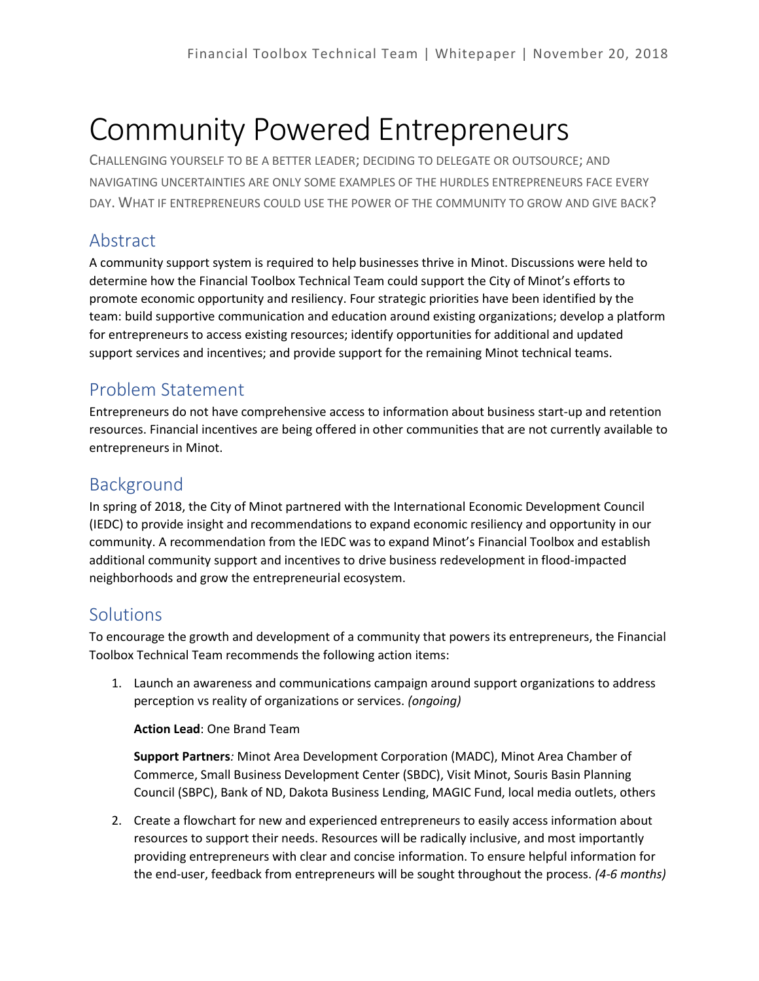# Community Powered Entrepreneurs

CHALLENGING YOURSELF TO BE A BETTER LEADER; DECIDING TO DELEGATE OR OUTSOURCE; AND NAVIGATING UNCERTAINTIES ARE ONLY SOME EXAMPLES OF THE HURDLES ENTREPRENEURS FACE EVERY DAY. WHAT IF ENTREPRENEURS COULD USE THE POWER OF THE COMMUNITY TO GROW AND GIVE BACK?

## Abstract

A community support system is required to help businesses thrive in Minot. Discussions were held to determine how the Financial Toolbox Technical Team could support the City of Minot's efforts to promote economic opportunity and resiliency. Four strategic priorities have been identified by the team: build supportive communication and education around existing organizations; develop a platform for entrepreneurs to access existing resources; identify opportunities for additional and updated support services and incentives; and provide support for the remaining Minot technical teams.

### Problem Statement

Entrepreneurs do not have comprehensive access to information about business start-up and retention resources. Financial incentives are being offered in other communities that are not currently available to entrepreneurs in Minot.

### Background

In spring of 2018, the City of Minot partnered with the International Economic Development Council (IEDC) to provide insight and recommendations to expand economic resiliency and opportunity in our community. A recommendation from the IEDC was to expand Minot's Financial Toolbox and establish additional community support and incentives to drive business redevelopment in flood-impacted neighborhoods and grow the entrepreneurial ecosystem.

### **Solutions**

To encourage the growth and development of a community that powers its entrepreneurs, the Financial Toolbox Technical Team recommends the following action items:

1. Launch an awareness and communications campaign around support organizations to address perception vs reality of organizations or services. *(ongoing)*

**Action Lead**: One Brand Team

**Support Partners***:* Minot Area Development Corporation (MADC), Minot Area Chamber of Commerce, Small Business Development Center (SBDC), Visit Minot, Souris Basin Planning Council (SBPC), Bank of ND, Dakota Business Lending, MAGIC Fund, local media outlets, others

2. Create a flowchart for new and experienced entrepreneurs to easily access information about resources to support their needs. Resources will be radically inclusive, and most importantly providing entrepreneurs with clear and concise information. To ensure helpful information for the end-user, feedback from entrepreneurs will be sought throughout the process. *(4-6 months)*